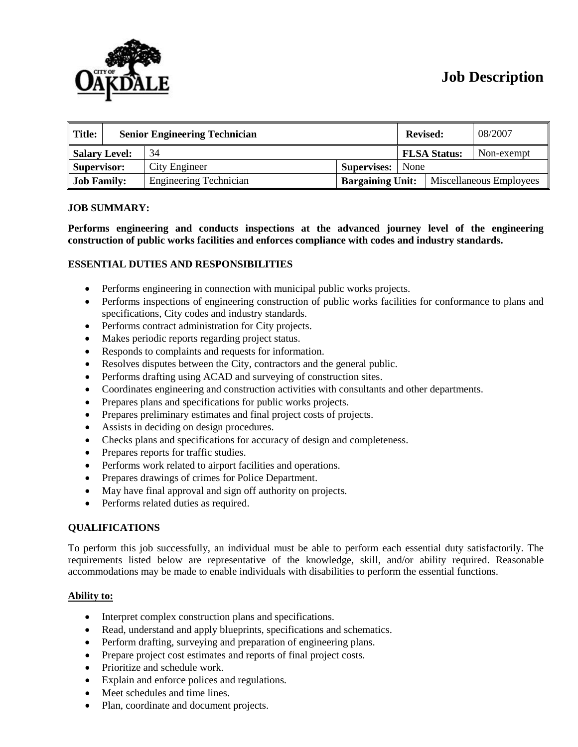

# **Job Description**

| $\parallel$ Title:<br><b>Senior Engineering Technician</b> |  |                               | <b>Revised:</b>         |  | 08/2007                 |            |
|------------------------------------------------------------|--|-------------------------------|-------------------------|--|-------------------------|------------|
| Salary Level:                                              |  | 34                            |                         |  | <b>FLSA Status:</b>     | Non-exempt |
| Supervisor:                                                |  | City Engineer                 | <b>Supervises:</b> None |  |                         |            |
| <b>Job Family:</b>                                         |  | <b>Engineering Technician</b> | <b>Bargaining Unit:</b> |  | Miscellaneous Employees |            |

#### **JOB SUMMARY:**

**Performs engineering and conducts inspections at the advanced journey level of the engineering construction of public works facilities and enforces compliance with codes and industry standards.**

## **ESSENTIAL DUTIES AND RESPONSIBILITIES**

- Performs engineering in connection with municipal public works projects.
- Performs inspections of engineering construction of public works facilities for conformance to plans and specifications, City codes and industry standards.
- Performs contract administration for City projects.
- Makes periodic reports regarding project status.
- Responds to complaints and requests for information.
- Resolves disputes between the City, contractors and the general public.
- Performs drafting using ACAD and surveying of construction sites.
- Coordinates engineering and construction activities with consultants and other departments.
- Prepares plans and specifications for public works projects.
- Prepares preliminary estimates and final project costs of projects.
- Assists in deciding on design procedures.
- Checks plans and specifications for accuracy of design and completeness.
- Prepares reports for traffic studies.
- Performs work related to airport facilities and operations.
- Prepares drawings of crimes for Police Department.
- May have final approval and sign off authority on projects.
- Performs related duties as required.

#### **QUALIFICATIONS**

To perform this job successfully, an individual must be able to perform each essential duty satisfactorily. The requirements listed below are representative of the knowledge, skill, and/or ability required. Reasonable accommodations may be made to enable individuals with disabilities to perform the essential functions.

#### **Ability to:**

- Interpret complex construction plans and specifications.
- Read, understand and apply blueprints, specifications and schematics.
- Perform drafting, surveying and preparation of engineering plans.
- Prepare project cost estimates and reports of final project costs.
- Prioritize and schedule work.
- Explain and enforce polices and regulations.
- Meet schedules and time lines.
- Plan, coordinate and document projects.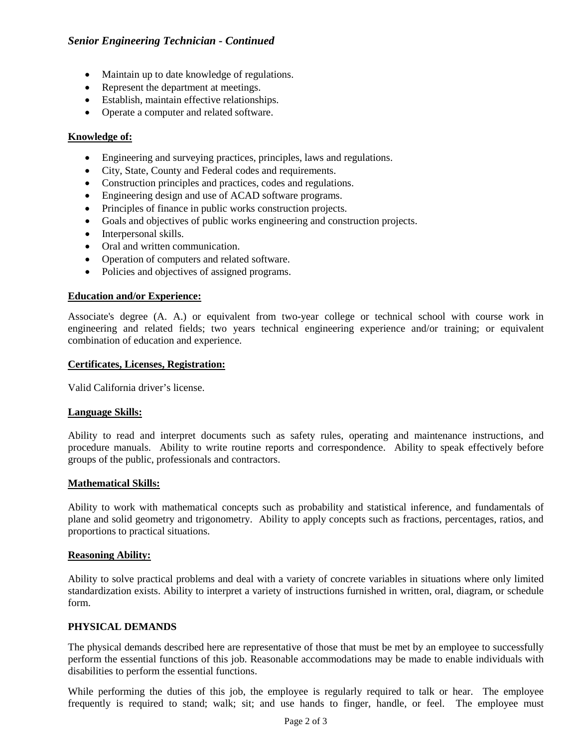- Maintain up to date knowledge of regulations.
- Represent the department at meetings.
- Establish, maintain effective relationships.
- Operate a computer and related software.

## **Knowledge of:**

- Engineering and surveying practices, principles, laws and regulations.
- City, State, County and Federal codes and requirements.
- Construction principles and practices, codes and regulations.
- Engineering design and use of ACAD software programs.
- Principles of finance in public works construction projects.
- Goals and objectives of public works engineering and construction projects.
- Interpersonal skills.
- Oral and written communication.
- Operation of computers and related software.
- Policies and objectives of assigned programs.

## **Education and/or Experience:**

Associate's degree (A. A.) or equivalent from two-year college or technical school with course work in engineering and related fields; two years technical engineering experience and/or training; or equivalent combination of education and experience.

#### **Certificates, Licenses, Registration:**

Valid California driver's license.

## **Language Skills:**

Ability to read and interpret documents such as safety rules, operating and maintenance instructions, and procedure manuals. Ability to write routine reports and correspondence. Ability to speak effectively before groups of the public, professionals and contractors.

## **Mathematical Skills:**

Ability to work with mathematical concepts such as probability and statistical inference, and fundamentals of plane and solid geometry and trigonometry. Ability to apply concepts such as fractions, percentages, ratios, and proportions to practical situations.

## **Reasoning Ability:**

Ability to solve practical problems and deal with a variety of concrete variables in situations where only limited standardization exists. Ability to interpret a variety of instructions furnished in written, oral, diagram, or schedule form.

#### **PHYSICAL DEMANDS**

The physical demands described here are representative of those that must be met by an employee to successfully perform the essential functions of this job. Reasonable accommodations may be made to enable individuals with disabilities to perform the essential functions.

While performing the duties of this job, the employee is regularly required to talk or hear. The employee frequently is required to stand; walk; sit; and use hands to finger, handle, or feel. The employee must